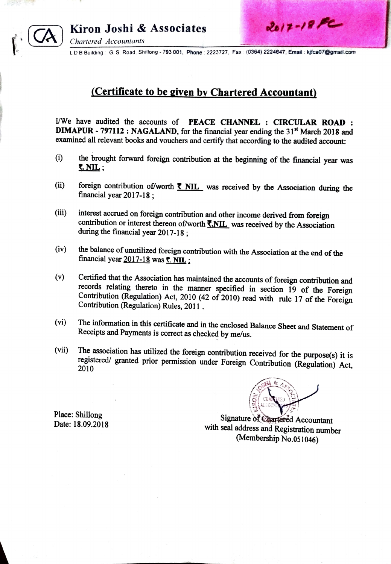

Chartered Accountants

LD B Building G S. Road, Shillong - 793 001, Phone : 2223727, Fax : (0364) 2224647, Email: kifca07@gmail.com

## (Certificate to be given by Chartered Accountant)

I/We have audited the accounts of PEACE CHANNEL : CIRCULAR ROAD : DIMAPUR - 797112: NAGALAND, for the financial year ending the 31<sup>st</sup> March 2018 and examined all relevant books and vouchers and certify that according to the audited account:

- () the brought forward foreign contribution at the beginning of the financial year was  $\overline{\mathbf{S}}$ . NIL :
- (ii) foreign contribution of/worth  $\overline{\xi}$  NIL was received by the Association during the financial year 2017-18;
- (iii) interest accrued on foreign contribution and other income derived from foreign contribution or interest thereon of/worth  $\overline{\text{S.NIL}}$  was received by the Association during the financial year 2017-18;
- (iv) the balance of unutilized foreign contribution with the Association at the end of the financial year  $2017-18$  was  $\overline{\tau}$ . NIL:
- (v) Certified that the Association has maintained the accounts of foreign contribution and records relating thereto in the manner specified in section 19 of the Foreign Contribution (Regulation) Act, 2010 (42 of 2010) read with rule 17 of the Foreign Contribution (Regulation) Rules, 2011.
- (vi) Receipts and Payments is correct as checked by me/us. The information in this certificate and in the enclosed Balance Sheet and Statement of
- The association has utilized the foreign contribution received for the purpose(s) it is registered/ granted prior permission under Foreign Contribution (Regulation) Act, 2010 (vii)



Date: 18.09.2018

Place: Shillong Signature of Chartered Accountant with seal address and Registration number (Membership No.051046)